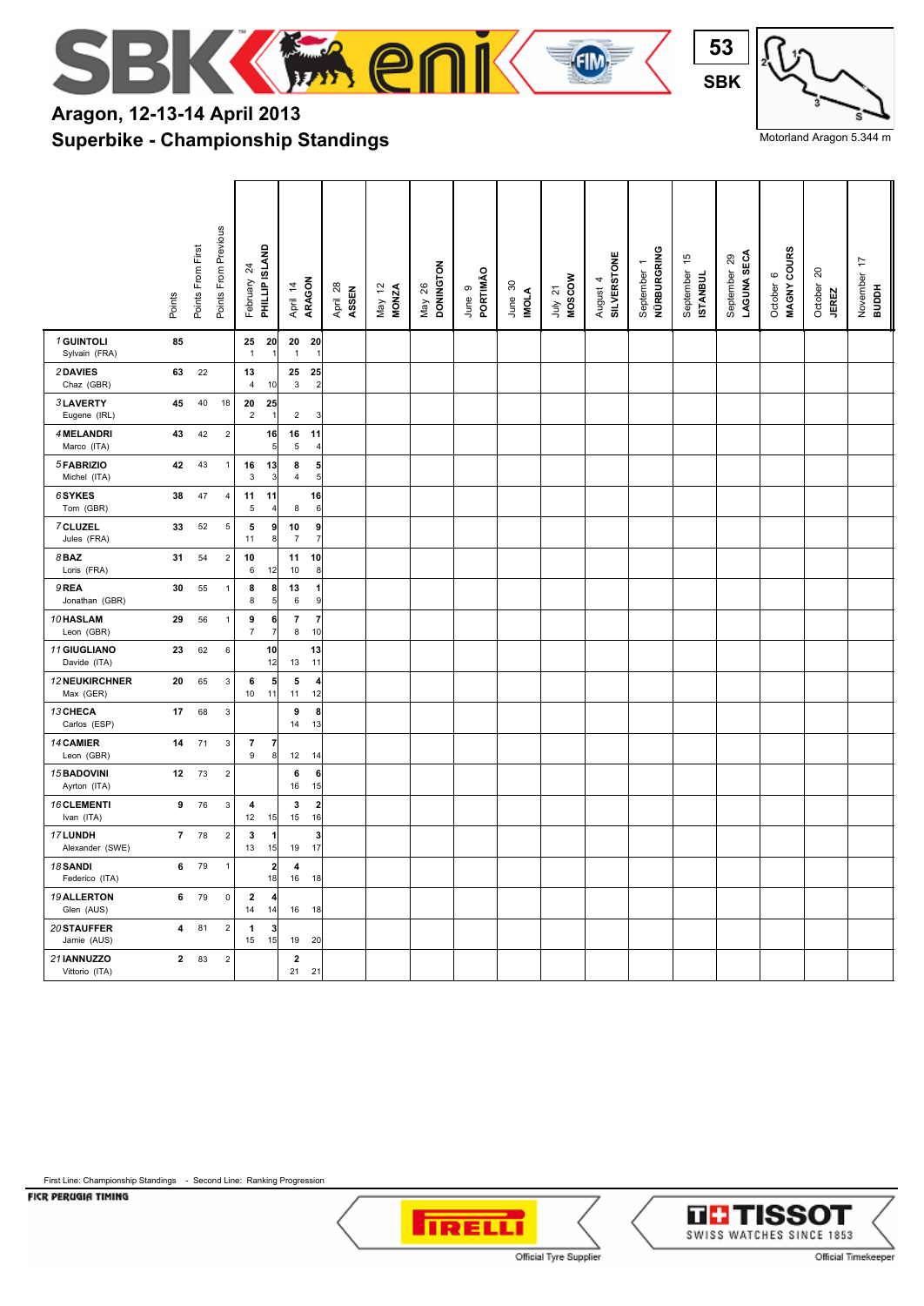

## **Superbike - Championship Standings Aragon, 12-13-14 April 2013**



Motorland Aragon 5.344 m

|                                   | Points         | Points From First | Points From Previous | $\overline{24}$<br>February   | PHILLIP ISLAND                | ARAGON<br>April 14         | April 28<br>ASSEN    | May 12<br>MONZA | <b>DONINGTON</b><br>May 26 | PORTIMÃO<br>June 9 | June 30<br>IMOLA | <b>MOSCOW</b><br>July 21 | August 4<br>SILVERSTONE | NÜRBURGRING<br>September | 45<br>September<br>ISTANBUL | LAGUNA SECA<br>September 29 | MAGNY COURS<br>$\mathbf{\circ}$<br>October | 20<br>October<br><b>JEREZ</b> | $\overline{1}$<br>November<br>BUDDH |
|-----------------------------------|----------------|-------------------|----------------------|-------------------------------|-------------------------------|----------------------------|----------------------|-----------------|----------------------------|--------------------|------------------|--------------------------|-------------------------|--------------------------|-----------------------------|-----------------------------|--------------------------------------------|-------------------------------|-------------------------------------|
| 1 GUINTOLI<br>Sylvain (FRA)       | 85             |                   |                      | 25<br>$\mathbf{1}$            | 20<br>-1                      | 20<br>20<br>$\mathbf{1}$   |                      |                 |                            |                    |                  |                          |                         |                          |                             |                             |                                            |                               |                                     |
| 2DAVIES<br>Chaz (GBR)             | 63             | 22                |                      | 13<br>$\overline{4}$          | 10                            | 25<br>$\mathbf{3}$         | 25<br>$\overline{2}$ |                 |                            |                    |                  |                          |                         |                          |                             |                             |                                            |                               |                                     |
| 3LAVERTY<br>Eugene (IRL)          | 45             | 40                | 18                   | 20<br>$\overline{2}$          | 25<br>-1                      | $\overline{2}$             | 3                    |                 |                            |                    |                  |                          |                         |                          |                             |                             |                                            |                               |                                     |
| 4 MELANDRI<br>Marco (ITA)         | 43             | 42                | $\sqrt{2}$           |                               | 16<br>5                       | 16<br>11<br>5              | $\overline{4}$       |                 |                            |                    |                  |                          |                         |                          |                             |                             |                                            |                               |                                     |
| 5 FABRIZIO<br>Michel (ITA)        | 42             | 43                | $\overline{1}$       | 16<br>3                       | 13<br>3                       | 8<br>$\overline{4}$        | 5<br>5               |                 |                            |                    |                  |                          |                         |                          |                             |                             |                                            |                               |                                     |
| 6SYKES<br>Tom (GBR)               | 38             | 47                | $\overline{4}$       | 11<br>5                       | 11<br>$\overline{4}$          | 8                          | 16<br>6              |                 |                            |                    |                  |                          |                         |                          |                             |                             |                                            |                               |                                     |
| 7 CLUZEL<br>Jules (FRA)           | 33             | 52                | 5                    | 5<br>11                       | 9<br>8                        | 10<br>$\overline{7}$       | 9<br>$\overline{7}$  |                 |                            |                    |                  |                          |                         |                          |                             |                             |                                            |                               |                                     |
| $8$ BAZ<br>Loris (FRA)            | 31             | 54                | $\overline{2}$       | 10<br>6                       | 12                            | 11<br>10                   | 10<br>8              |                 |                            |                    |                  |                          |                         |                          |                             |                             |                                            |                               |                                     |
| 9 REA<br>Jonathan (GBR)           | 30             | 55                | $\overline{1}$       | 8<br>8                        | 8<br>5                        | 13<br>6                    | 1<br>9               |                 |                            |                    |                  |                          |                         |                          |                             |                             |                                            |                               |                                     |
| 10 HASLAM<br>Leon (GBR)           | 29             | 56                | $\mathbf{1}$         | 9<br>$\overline{7}$           | 6<br>$\overline{7}$           | $\overline{7}$<br>8        | $\overline{7}$<br>10 |                 |                            |                    |                  |                          |                         |                          |                             |                             |                                            |                               |                                     |
| 11 GIUGLIANO<br>Davide (ITA)      | 23             | 62                | 6                    |                               | 10<br>12                      | 11<br>13                   | 13                   |                 |                            |                    |                  |                          |                         |                          |                             |                             |                                            |                               |                                     |
| 12 NEUKIRCHNER<br>Max (GER)       | 20             | 65                | $\mathsf 3$          | 6<br>10                       | 5<br>11                       | 5<br>11                    | 4<br>12              |                 |                            |                    |                  |                          |                         |                          |                             |                             |                                            |                               |                                     |
| 13 CHECA<br>Carlos (ESP)          | 17             | 68                | $\mathbf{3}$         |                               |                               | 9<br>14                    | 8<br>13              |                 |                            |                    |                  |                          |                         |                          |                             |                             |                                            |                               |                                     |
| 14 CAMIER<br>Leon (GBR)           | 14             | 71                | $\mathbf{3}$         | $\overline{7}$<br>9           | $\overline{7}$<br>8           | 12<br>14                   |                      |                 |                            |                    |                  |                          |                         |                          |                             |                             |                                            |                               |                                     |
| 15 BADOVINI<br>Ayrton (ITA)       | 12             | 73                | $\overline{2}$       |                               |                               | 6<br>16                    | 6<br>15              |                 |                            |                    |                  |                          |                         |                          |                             |                             |                                            |                               |                                     |
| 16 CLEMENTI<br>Ivan (ITA)         | 9              | 76                | $\mathbf{3}$         | 4<br>12                       | 15                            | 3<br>15                    | $\overline{2}$<br>16 |                 |                            |                    |                  |                          |                         |                          |                             |                             |                                            |                               |                                     |
| 17 LUNDH<br>Alexander (SWE)       | $\overline{7}$ | 78                | $\mathbf 2$          | $\mathbf{3}$<br>13            | $\overline{\mathbf{1}}$<br>15 | 19                         | 3<br>17              |                 |                            |                    |                  |                          |                         |                          |                             |                             |                                            |                               |                                     |
| <b>18 SANDI</b><br>Federico (ITA) | 6              | 79                | $\mathbf{1}$         |                               | $\overline{2}$<br>18          | 4<br>16<br>18              |                      |                 |                            |                    |                  |                          |                         |                          |                             |                             |                                            |                               |                                     |
| 19 ALLERTON<br>Glen (AUS)         | 6              | 79                | $\mathsf 0$          | $\overline{\mathbf{2}}$<br>14 | 4<br>14                       | 16 18                      |                      |                 |                            |                    |                  |                          |                         |                          |                             |                             |                                            |                               |                                     |
| 20 STAUFFER<br>Jamie (AUS)        | 4              | 81                | $\overline{2}$       | $\mathbf{1}$<br>15            | 3<br>15                       | 19<br>- 20                 |                      |                 |                            |                    |                  |                          |                         |                          |                             |                             |                                            |                               |                                     |
| 21 IANNUZZO<br>Vittorio (ITA)     | $\overline{2}$ | 83                | $\sqrt{2}$           |                               |                               | $\overline{2}$<br>21<br>21 |                      |                 |                            |                    |                  |                          |                         |                          |                             |                             |                                            |                               |                                     |

FICR PERUGIA TIMING